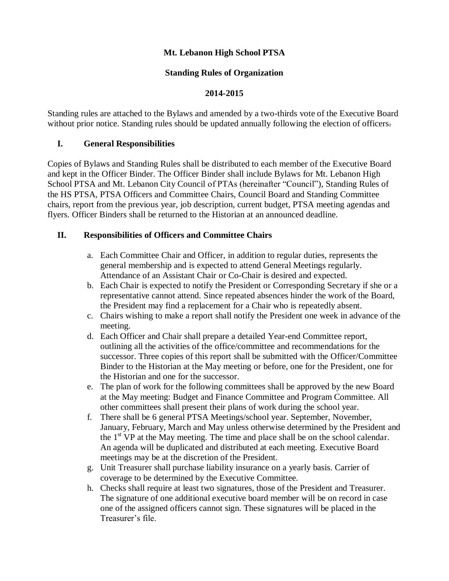## **Mt. Lebanon High School PTSA**

#### **Standing Rules of Organization**

#### **2014-2015**

Standing rules are attached to the Bylaws and amended by a two-thirds vote of the Executive Board without prior notice. Standing rules should be updated annually following the election of officers.

#### **I. General Responsibilities**

Copies of Bylaws and Standing Rules shall be distributed to each member of the Executive Board and kept in the Officer Binder. The Officer Binder shall include Bylaws for Mt. Lebanon High School PTSA and Mt. Lebanon City Council of PTAs (hereinafter "Council"), Standing Rules of the HS PTSA, PTSA Officers and Committee Chairs, Council Board and Standing Committee chairs, report from the previous year, job description, current budget, PTSA meeting agendas and flyers. Officer Binders shall be returned to the Historian at an announced deadline.

#### **II. Responsibilities of Officers and Committee Chairs**

- a. Each Committee Chair and Officer, in addition to regular duties, represents the general membership and is expected to attend General Meetings regularly. Attendance of an Assistant Chair or Co-Chair is desired and expected.
- b. Each Chair is expected to notify the President or Corresponding Secretary if she or a representative cannot attend. Since repeated absences hinder the work of the Board, the President may find a replacement for a Chair who is repeatedly absent.
- c. Chairs wishing to make a report shall notify the President one week in advance of the meeting.
- d. Each Officer and Chair shall prepare a detailed Year-end Committee report, outlining all the activities of the office/committee and recommendations for the successor. Three copies of this report shall be submitted with the Officer/Committee Binder to the Historian at the May meeting or before, one for the President, one for the Historian and one for the successor.
- e. The plan of work for the following committees shall be approved by the new Board at the May meeting: Budget and Finance Committee and Program Committee. All other committees shall present their plans of work during the school year.
- f. There shall be 6 general PTSA Meetings/school year. September, November, January, February, March and May unless otherwise determined by the President and the  $1<sup>st</sup> VP$  at the May meeting. The time and place shall be on the school calendar. An agenda will be duplicated and distributed at each meeting. Executive Board meetings may be at the discretion of the President.
- g. Unit Treasurer shall purchase liability insurance on a yearly basis. Carrier of coverage to be determined by the Executive Committee.
- h. Checks shall require at least two signatures, those of the President and Treasurer. The signature of one additional executive board member will be on record in case one of the assigned officers cannot sign. These signatures will be placed in the Treasurer's file.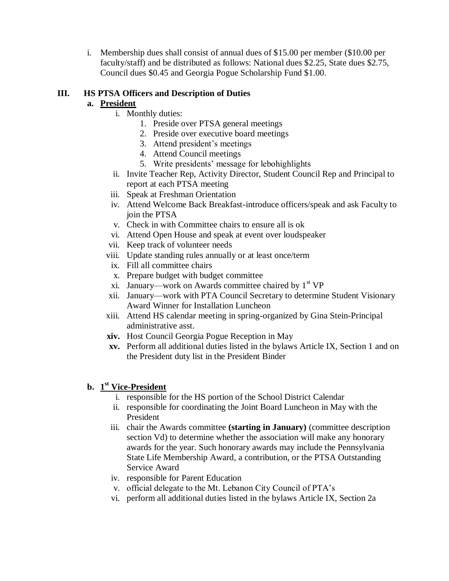i. Membership dues shall consist of annual dues of \$15.00 per member (\$10.00 per faculty/staff) and be distributed as follows: National dues \$2.25, State dues \$2.75, Council dues \$0.45 and Georgia Pogue Scholarship Fund \$1.00.

## **III. HS PTSA Officers and Description of Duties**

## **a. President**

- i. Monthly duties:
	- 1. Preside over PTSA general meetings
	- 2. Preside over executive board meetings
	- 3. Attend president's meetings
	- 4. Attend Council meetings
	- 5. Write presidents' message for lebohighlights
- ii. Invite Teacher Rep, Activity Director, Student Council Rep and Principal to report at each PTSA meeting
- iii. Speak at Freshman Orientation
- iv. Attend Welcome Back Breakfast-introduce officers/speak and ask Faculty to join the PTSA
- v. Check in with Committee chairs to ensure all is ok
- vi. Attend Open House and speak at event over loudspeaker
- vii. Keep track of volunteer needs
- viii. Update standing rules annually or at least once/term
- ix. Fill all committee chairs
- x. Prepare budget with budget committee
- xi. January—work on Awards committee chaired by  $1<sup>st</sup> VP$
- xii. January—work with PTA Council Secretary to determine Student Visionary Award Winner for Installation Luncheon
- xiii. Attend HS calendar meeting in spring-organized by Gina Stein-Principal administrative asst.
- **xiv.** Host Council Georgia Pogue Reception in May
- **xv.** Perform all additional duties listed in the bylaws Article IX, Section 1 and on the President duty list in the President Binder

# **b. 1 st Vice-President**

- i. responsible for the HS portion of the School District Calendar
- ii. responsible for coordinating the Joint Board Luncheon in May with the President
- iii. chair the Awards committee **(starting in January)** (committee description section Vd) to determine whether the association will make any honorary awards for the year. Such honorary awards may include the Pennsylvania State Life Membership Award, a contribution, or the PTSA Outstanding Service Award
- iv. responsible for Parent Education
- v. official delegate to the Mt. Lebanon City Council of PTA's
- vi. perform all additional duties listed in the bylaws Article IX, Section 2a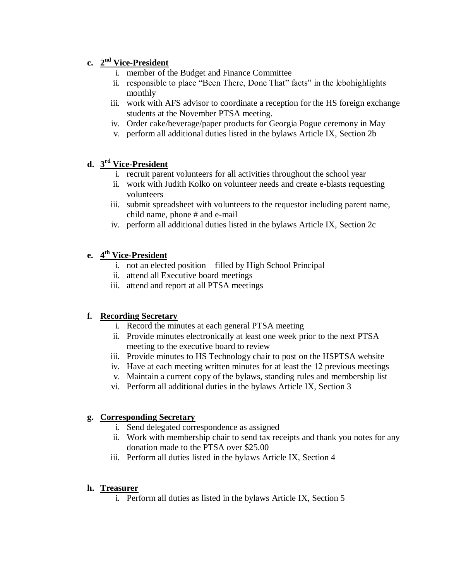# **c. 2 nd Vice-President**

- i. member of the Budget and Finance Committee
- ii. responsible to place "Been There, Done That" facts" in the lebohighlights monthly
- iii. work with AFS advisor to coordinate a reception for the HS foreign exchange students at the November PTSA meeting.
- iv. Order cake/beverage/paper products for Georgia Pogue ceremony in May
- v. perform all additional duties listed in the bylaws Article IX, Section 2b

# **d. 3 rd Vice-President**

- i. recruit parent volunteers for all activities throughout the school year
- ii. work with Judith Kolko on volunteer needs and create e-blasts requesting volunteers
- iii. submit spreadsheet with volunteers to the requestor including parent name, child name, phone # and e-mail
- iv. perform all additional duties listed in the bylaws Article IX, Section 2c

# **e. 4 th Vice-President**

- i. not an elected position—filled by High School Principal
- ii. attend all Executive board meetings
- iii. attend and report at all PTSA meetings

# **f. Recording Secretary**

- i. Record the minutes at each general PTSA meeting
- ii. Provide minutes electronically at least one week prior to the next PTSA meeting to the executive board to review
- iii. Provide minutes to HS Technology chair to post on the HSPTSA website
- iv. Have at each meeting written minutes for at least the 12 previous meetings
- v. Maintain a current copy of the bylaws, standing rules and membership list
- vi. Perform all additional duties in the bylaws Article IX, Section 3

# **g. Corresponding Secretary**

- i. Send delegated correspondence as assigned
- ii. Work with membership chair to send tax receipts and thank you notes for any donation made to the PTSA over \$25.00
- iii. Perform all duties listed in the bylaws Article IX, Section 4

### **h. Treasurer**

i. Perform all duties as listed in the bylaws Article IX, Section 5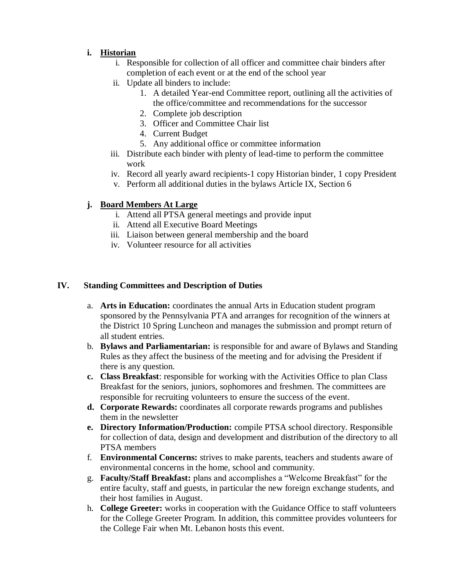## **i. Historian**

- i. Responsible for collection of all officer and committee chair binders after completion of each event or at the end of the school year
- ii. Update all binders to include:
	- 1. A detailed Year-end Committee report, outlining all the activities of the office/committee and recommendations for the successor
	- 2. Complete job description
	- 3. Officer and Committee Chair list
	- 4. Current Budget
	- 5. Any additional office or committee information
- iii. Distribute each binder with plenty of lead-time to perform the committee work
- iv. Record all yearly award recipients-1 copy Historian binder, 1 copy President
- v. Perform all additional duties in the bylaws Article IX, Section 6

## **j. Board Members At Large**

- i. Attend all PTSA general meetings and provide input
- ii. Attend all Executive Board Meetings
- iii. Liaison between general membership and the board
- iv. Volunteer resource for all activities

#### **IV. Standing Committees and Description of Duties**

- a. **Arts in Education:** coordinates the annual Arts in Education student program sponsored by the Pennsylvania PTA and arranges for recognition of the winners at the District 10 Spring Luncheon and manages the submission and prompt return of all student entries.
- b. **Bylaws and Parliamentarian:** is responsible for and aware of Bylaws and Standing Rules as they affect the business of the meeting and for advising the President if there is any question.
- **c. Class Breakfast**: responsible for working with the Activities Office to plan Class Breakfast for the seniors, juniors, sophomores and freshmen. The committees are responsible for recruiting volunteers to ensure the success of the event.
- **d. Corporate Rewards:** coordinates all corporate rewards programs and publishes them in the newsletter
- **e. Directory Information/Production:** compile PTSA school directory. Responsible for collection of data, design and development and distribution of the directory to all PTSA members
- f. **Environmental Concerns:** strives to make parents, teachers and students aware of environmental concerns in the home, school and community.
- g. **Faculty/Staff Breakfast:** plans and accomplishes a "Welcome Breakfast" for the entire faculty, staff and guests, in particular the new foreign exchange students, and their host families in August.
- h. **College Greeter:** works in cooperation with the Guidance Office to staff volunteers for the College Greeter Program. In addition, this committee provides volunteers for the College Fair when Mt. Lebanon hosts this event.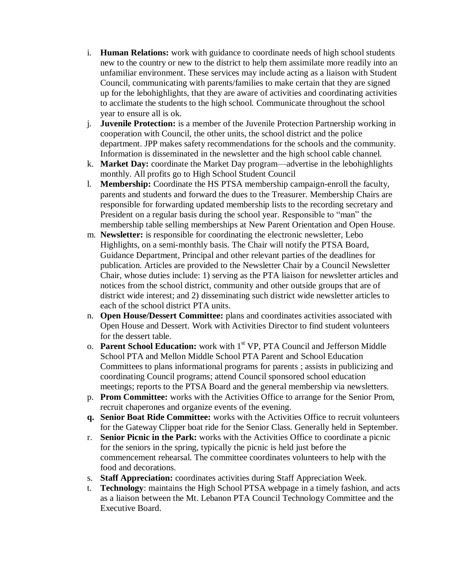- i. **Human Relations:** work with guidance to coordinate needs of high school students new to the country or new to the district to help them assimilate more readily into an unfamiliar environment. These services may include acting as a liaison with Student Council, communicating with parents/families to make certain that they are signed up for the lebohighlights, that they are aware of activities and coordinating activities to acclimate the students to the high school. Communicate throughout the school year to ensure all is ok.
- j. **Juvenile Protection:** is a member of the Juvenile Protection Partnership working in cooperation with Council, the other units, the school district and the police department. JPP makes safety recommendations for the schools and the community. Information is disseminated in the newsletter and the high school cable channel.
- k. **Market Day:** coordinate the Market Day program—advertise in the lebohighlights monthly. All profits go to High School Student Council
- l. **Membership:** Coordinate the HS PTSA membership campaign-enroll the faculty, parents and students and forward the dues to the Treasurer. Membership Chairs are responsible for forwarding updated membership lists to the recording secretary and President on a regular basis during the school year. Responsible to "man" the membership table selling memberships at New Parent Orientation and Open House.
- m. **Newsletter:** is responsible for coordinating the electronic newsletter, Lebo Highlights, on a semi-monthly basis. The Chair will notify the PTSA Board, Guidance Department, Principal and other relevant parties of the deadlines for publication. Articles are provided to the Newsletter Chair by a Council Newsletter Chair, whose duties include: 1) serving as the PTA liaison for newsletter articles and notices from the school district, community and other outside groups that are of district wide interest; and 2) disseminating such district wide newsletter articles to each of the school district PTA units.
- n. **Open House/Dessert Committee:** plans and coordinates activities associated with Open House and Dessert. Work with Activities Director to find student volunteers for the dessert table.
- o. **Parent School Education:** work with 1<sup>st</sup> VP, PTA Council and Jefferson Middle School PTA and Mellon Middle School PTA Parent and School Education Committees to plans informational programs for parents ; assists in publicizing and coordinating Council programs; attend Council sponsored school education meetings; reports to the PTSA Board and the general membership via newsletters.
- p. **Prom Committee:** works with the Activities Office to arrange for the Senior Prom, recruit chaperones and organize events of the evening.
- **q. Senior Boat Ride Committee:** works with the Activities Office to recruit volunteers for the Gateway Clipper boat ride for the Senior Class. Generally held in September.
- r. **Senior Picnic in the Park:** works with the Activities Office to coordinate a picnic for the seniors in the spring, typically the picnic is held just before the commencement rehearsal. The committee coordinates volunteers to help with the food and decorations.
- s. **Staff Appreciation:** coordinates activities during Staff Appreciation Week.
- t. **Technology**: maintains the High School PTSA webpage in a timely fashion, and acts as a liaison between the Mt. Lebanon PTA Council Technology Committee and the Executive Board.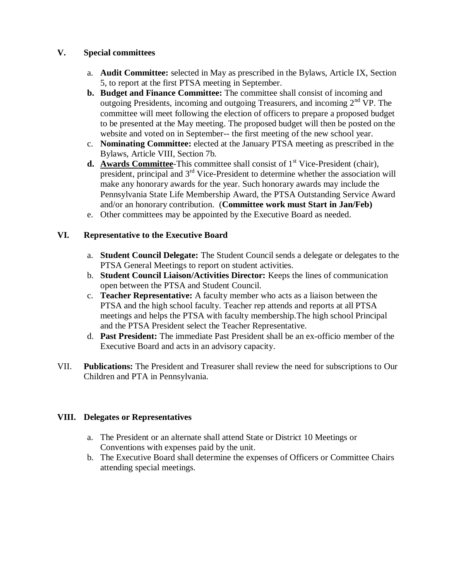### **V. Special committees**

- a. **Audit Committee:** selected in May as prescribed in the Bylaws, Article IX, Section 5, to report at the first PTSA meeting in September.
- **b. Budget and Finance Committee:** The committee shall consist of incoming and outgoing Presidents, incoming and outgoing Treasurers, and incoming  $2<sup>nd</sup> VP$ . The committee will meet following the election of officers to prepare a proposed budget to be presented at the May meeting. The proposed budget will then be posted on the website and voted on in September-- the first meeting of the new school year.
- c. **Nominating Committee:** elected at the January PTSA meeting as prescribed in the Bylaws, Article VIII, Section 7b.
- **d. Awards Committee-This committee shall consist of 1<sup>st</sup> Vice-President (chair),** president, principal and  $3<sup>rd</sup>$  Vice-President to determine whether the association will make any honorary awards for the year. Such honorary awards may include the Pennsylvania State Life Membership Award, the PTSA Outstanding Service Award and/or an honorary contribution. (**Committee work must Start in Jan/Feb)**
- e. Other committees may be appointed by the Executive Board as needed.

## **VI. Representative to the Executive Board**

- a. **Student Council Delegate:** The Student Council sends a delegate or delegates to the PTSA General Meetings to report on student activities.
- b. **Student Council Liaison/Activities Director:** Keeps the lines of communication open between the PTSA and Student Council.
- c. **Teacher Representative:** A faculty member who acts as a liaison between the PTSA and the high school faculty. Teacher rep attends and reports at all PTSA meetings and helps the PTSA with faculty membership.The high school Principal and the PTSA President select the Teacher Representative.
- d. **Past President:** The immediate Past President shall be an ex-officio member of the Executive Board and acts in an advisory capacity.
- VII. **Publications:** The President and Treasurer shall review the need for subscriptions to Our Children and PTA in Pennsylvania.

### **VIII. Delegates or Representatives**

- a. The President or an alternate shall attend State or District 10 Meetings or Conventions with expenses paid by the unit.
- b. The Executive Board shall determine the expenses of Officers or Committee Chairs attending special meetings.